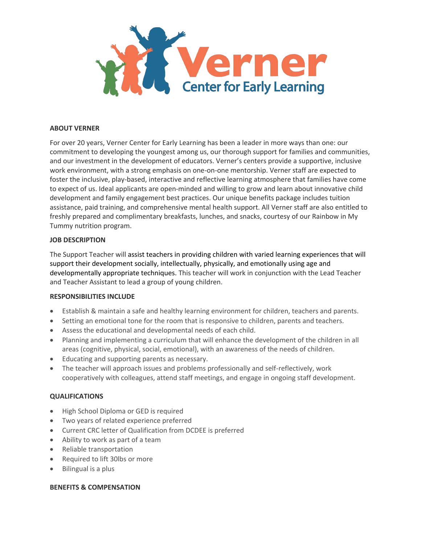

### **ABOUT VERNER**

For over 20 years, Verner Center for Early Learning has been a leader in more ways than one: our commitment to developing the youngest among us, our thorough support for families and communities, and our investment in the development of educators. Verner's centers provide a supportive, inclusive work environment, with a strong emphasis on one-on-one mentorship. Verner staff are expected to foster the inclusive, play-based, interactive and reflective learning atmosphere that families have come to expect of us. Ideal applicants are open-minded and willing to grow and learn about innovative child development and family engagement best practices. Our unique benefits package includes tuition assistance, paid training, and comprehensive mental health support. All Verner staff are also entitled to freshly prepared and complimentary breakfasts, lunches, and snacks, courtesy of our Rainbow in My Tummy nutrition program.

### **JOB DESCRIPTION**

The Support Teacher will assist teachers in providing children with varied learning experiences that will support their development socially, intellectually, physically, and emotionally using age and developmentally appropriate techniques. This teacher will work in conjunction with the Lead Teacher and Teacher Assistant to lead a group of young children.

#### **RESPONSIBILITIES INCLUDE**

- Establish & maintain a safe and healthy learning environment for children, teachers and parents.
- Setting an emotional tone for the room that is responsive to children, parents and teachers.
- Assess the educational and developmental needs of each child.
- Planning and implementing a curriculum that will enhance the development of the children in all areas (cognitive, physical, social, emotional), with an awareness of the needs of children.
- Educating and supporting parents as necessary.
- The teacher will approach issues and problems professionally and self-reflectively, work cooperatively with colleagues, attend staff meetings, and engage in ongoing staff development.

# **QUALIFICATIONS**

- High School Diploma or GED is required
- Two years of related experience preferred
- Current CRC letter of Qualification from DCDEE is preferred
- Ability to work as part of a team
- Reliable transportation
- Required to lift 30lbs or more
- Bilingual is a plus

# **BENEFITS & COMPENSATION**